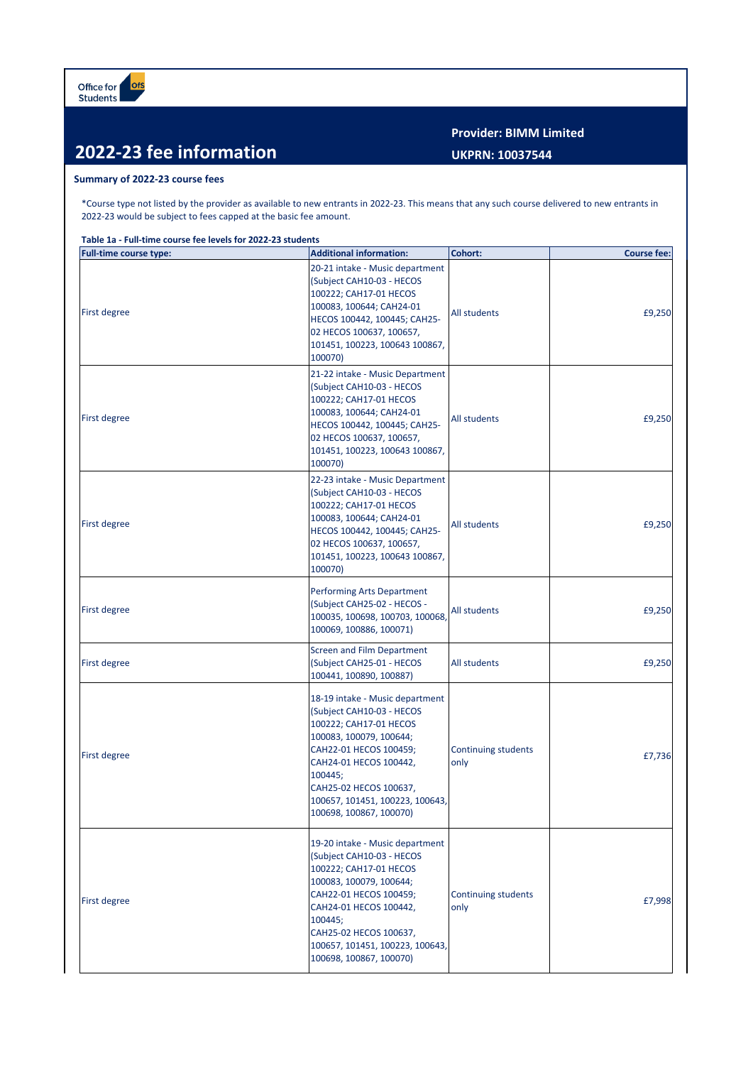## **2022-23 fee information**

## **Summary of 2022-23 course fees**

\*Course type not listed by the provider as available to new entrants in 2022-23. This means that any such course delivered to new entrants in 2022-23 would be subject to fees capped at the basic fee amount.

**Table 1a - Full-time course fee levels for 2022-23 students**

| <b>Full-time course type:</b> | <b>Additional information:</b>                                                                                                                                                                                                                                           | Cohort:                     | <b>Course fee:</b> |
|-------------------------------|--------------------------------------------------------------------------------------------------------------------------------------------------------------------------------------------------------------------------------------------------------------------------|-----------------------------|--------------------|
| <b>First degree</b>           | 20-21 intake - Music department<br>(Subject CAH10-03 - HECOS<br>100222; CAH17-01 HECOS<br>100083, 100644; CAH24-01<br>HECOS 100442, 100445; CAH25-<br>02 HECOS 100637, 100657,<br>101451, 100223, 100643 100867,<br>100070)                                              | All students                | £9,250             |
| <b>First degree</b>           | 21-22 intake - Music Department<br>(Subject CAH10-03 - HECOS<br>100222; CAH17-01 HECOS<br>100083, 100644; CAH24-01<br>HECOS 100442, 100445; CAH25-<br>02 HECOS 100637, 100657,<br>101451, 100223, 100643 100867,<br>100070)                                              | All students                | £9,250             |
| <b>First degree</b>           | 22-23 intake - Music Department<br>(Subject CAH10-03 - HECOS<br>100222; CAH17-01 HECOS<br>100083, 100644; CAH24-01<br>HECOS 100442, 100445; CAH25-<br>02 HECOS 100637, 100657,<br>101451, 100223, 100643 100867,<br>100070)                                              | All students                | £9,250             |
| <b>First degree</b>           | <b>Performing Arts Department</b><br>(Subject CAH25-02 - HECOS -<br>100035, 100698, 100703, 100068,<br>100069, 100886, 100071)                                                                                                                                           | All students                | £9,250             |
| <b>First degree</b>           | <b>Screen and Film Department</b><br>(Subject CAH25-01 - HECOS<br>100441, 100890, 100887)                                                                                                                                                                                | All students                | £9,250             |
| <b>First degree</b>           | 18-19 intake - Music department<br>(Subject CAH10-03 - HECOS<br>100222; CAH17-01 HECOS<br>100083, 100079, 100644;<br>CAH22-01 HECOS 100459;<br>CAH24-01 HECOS 100442,<br>100445;<br>CAH25-02 HECOS 100637,<br>100657, 101451, 100223, 100643,<br>100698, 100867, 100070) | Continuing students<br>only | £7,736             |
| <b>First degree</b>           | 19-20 intake - Music department<br>(Subject CAH10-03 - HECOS<br>100222; CAH17-01 HECOS<br>100083, 100079, 100644;<br>CAH22-01 HECOS 100459;<br>CAH24-01 HECOS 100442,<br>100445;<br>CAH25-02 HECOS 100637,<br>100657, 101451, 100223, 100643,<br>100698, 100867, 100070) | Continuing students<br>only | £7,998             |

**Provider: BIMM Limited UKPRN: 10037544**